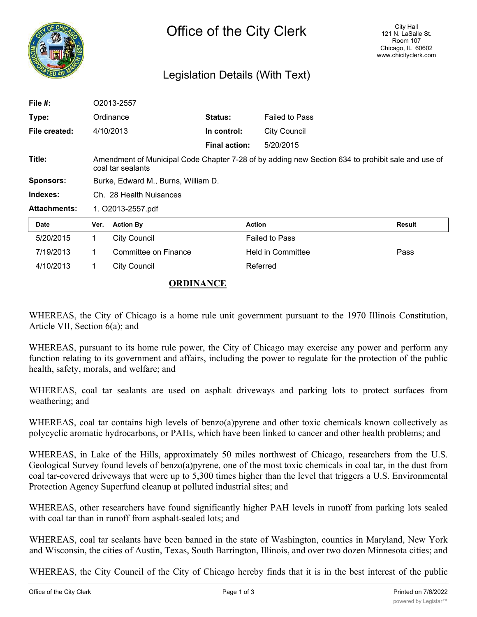

## Legislation Details (With Text)

| File $#$ :          | O2013-2557                                                                                                             |                      |                      |                          |               |
|---------------------|------------------------------------------------------------------------------------------------------------------------|----------------------|----------------------|--------------------------|---------------|
| Type:               | Ordinance                                                                                                              |                      | Status:              | <b>Failed to Pass</b>    |               |
| File created:       | 4/10/2013                                                                                                              |                      | In control:          | <b>City Council</b>      |               |
|                     |                                                                                                                        |                      | <b>Final action:</b> | 5/20/2015                |               |
| Title:              | Amendment of Municipal Code Chapter 7-28 of by adding new Section 634 to prohibit sale and use of<br>coal tar sealants |                      |                      |                          |               |
| <b>Sponsors:</b>    | Burke, Edward M., Burns, William D.                                                                                    |                      |                      |                          |               |
| Indexes:            | Ch. 28 Health Nuisances                                                                                                |                      |                      |                          |               |
| <b>Attachments:</b> | 1. O2013-2557.pdf                                                                                                      |                      |                      |                          |               |
| <b>Date</b>         | Ver.                                                                                                                   | <b>Action By</b>     |                      | <b>Action</b>            | <b>Result</b> |
| 5/20/2015           | 1.                                                                                                                     | <b>City Council</b>  |                      | <b>Failed to Pass</b>    |               |
| 7/19/2013           | 1                                                                                                                      | Committee on Finance |                      | <b>Held in Committee</b> | Pass          |
| 4/10/2013           | 1                                                                                                                      | <b>City Council</b>  |                      | Referred                 |               |

## **ORDINANCE**

WHEREAS, the City of Chicago is a home rule unit government pursuant to the 1970 Illinois Constitution, Article VII, Section 6(a); and

WHEREAS, pursuant to its home rule power, the City of Chicago may exercise any power and perform any function relating to its government and affairs, including the power to regulate for the protection of the public health, safety, morals, and welfare; and

WHEREAS, coal tar sealants are used on asphalt driveways and parking lots to protect surfaces from weathering; and

WHEREAS, coal tar contains high levels of benzo(a)pyrene and other toxic chemicals known collectively as polycyclic aromatic hydrocarbons, or PAHs, which have been linked to cancer and other health problems; and

WHEREAS, in Lake of the Hills, approximately 50 miles northwest of Chicago, researchers from the U.S. Geological Survey found levels of benzo(a)pyrene, one of the most toxic chemicals in coal tar, in the dust from coal tar-covered driveways that were up to 5,300 times higher than the level that triggers a U.S. Environmental Protection Agency Superfund cleanup at polluted industrial sites; and

WHEREAS, other researchers have found significantly higher PAH levels in runoff from parking lots sealed with coal tar than in runoff from asphalt-sealed lots; and

WHEREAS, coal tar sealants have been banned in the state of Washington, counties in Maryland, New York and Wisconsin, the cities of Austin, Texas, South Barrington, Illinois, and over two dozen Minnesota cities; and

WHEREAS, the City Council of the City of Chicago hereby finds that it is in the best interest of the public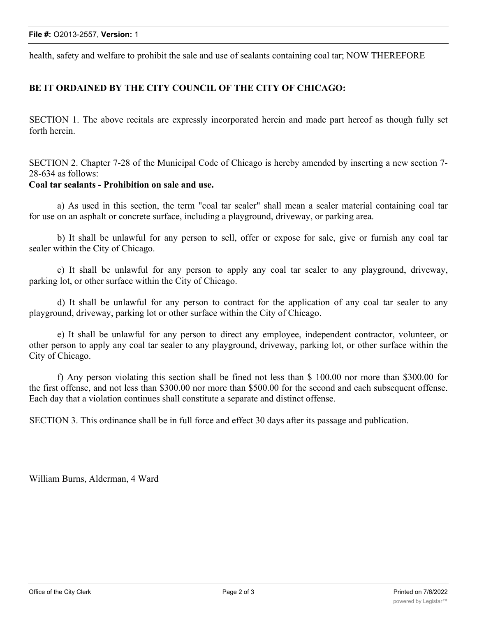health, safety and welfare to prohibit the sale and use of sealants containing coal tar; NOW THEREFORE

## **BE IT ORDAINED BY THE CITY COUNCIL OF THE CITY OF CHICAGO:**

SECTION 1. The above recitals are expressly incorporated herein and made part hereof as though fully set forth herein.

SECTION 2. Chapter 7-28 of the Municipal Code of Chicago is hereby amended by inserting a new section 7- 28-634 as follows:

## **Coal tar sealants - Prohibition on sale and use.**

a) As used in this section, the term "coal tar sealer" shall mean a sealer material containing coal tar for use on an asphalt or concrete surface, including a playground, driveway, or parking area.

b) It shall be unlawful for any person to sell, offer or expose for sale, give or furnish any coal tar sealer within the City of Chicago.

c) It shall be unlawful for any person to apply any coal tar sealer to any playground, driveway, parking lot, or other surface within the City of Chicago.

d) It shall be unlawful for any person to contract for the application of any coal tar sealer to any playground, driveway, parking lot or other surface within the City of Chicago.

e) It shall be unlawful for any person to direct any employee, independent contractor, volunteer, or other person to apply any coal tar sealer to any playground, driveway, parking lot, or other surface within the City of Chicago.

f) Any person violating this section shall be fined not less than \$ 100.00 nor more than \$300.00 for the first offense, and not less than \$300.00 nor more than \$500.00 for the second and each subsequent offense. Each day that a violation continues shall constitute a separate and distinct offense.

SECTION 3. This ordinance shall be in full force and effect 30 days after its passage and publication.

William Burns, Alderman, 4 Ward